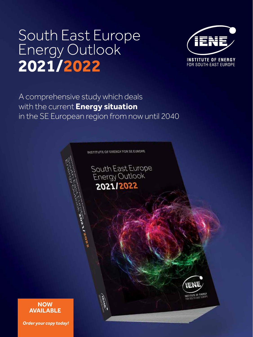# South East Europe<br>Energy Outlook 2021/2022



A comprehensive study which deals with the current **Energy situation**  in the SE European region from now until 2040

**INSTITUTE OF ENERGY FOR SE EUROPE** 

South East Europe<br>Energy Outlook 2021/2022



#### **NOW AVAILABLE**

*Order your copy today!*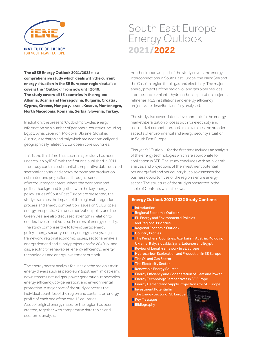

# South East Europe **Energy Outlook** 2021/2022

**The «SEE Energy Outlook 2021/2022» is a comprehensive study which deals with the current energy situation in the SE European region but also covers the "Outlook" from now until 2040. The study covers all 15 countries in the region: Albania, Bosnia and Herzegovina, Bulgaria, Croatia, Cyprus, Greece, Hungary, Israel, Kosovo, Montenegro, North Macedonia, Romania, Serbia, Slovenia, Turkey.**

In addition, the present "Outlook" provides energy information on a number of peripheral countries including Egypt, Syria, Lebanon, Moldova, Ukraine, Slovakia, Austria, Azerbaijan and Italy which are economically and geographically related SE European core countries.

This is the third time that such a major study has been undertaken by IENE with the first one published in 2011. The study contains substantial comparative data, detailed sectorial analysis, and energy demand and production estimates and projections. Through a series of introductory chapters, where the economic and political background together with the key energy policy issues of South East Europe are presented, the study examines the impact of the regional integration process and energy competition issues on SE Europe's energy prospects. EU's decarbonization policy and the Green Deal are also discussed at length in relation to needed investment but also in terms of energy security. The study comprises the following parts: energy policy, energy security, country energy surveys, legal framework, regional economic issues, sectorial analysis, energy demand and supply projections for 2040 (oil and gas, electricity, renewables, energy efficiency), energy technologies and energy investment outlook.

The energy sector analysis focuses on the region's main energy drivers such as petroleum (upstream, midstream, downstream), natural gas, power generation, renewables, energy efficiency, co-generation, and environmental protection. A major part of the study concerns the individual countries of the region and contains an energy profile of each one of the core 15 countries. A set of original energy maps for the region has been created, together with comparative data tables and economic analysis.

Another important part of the study covers the energy interconnections in South East Europe, the Black Sea and the Caspian region for oil, gas and electricity. The major energy projects of the region (oil and gas pipelines, gas storage, nuclear plants, hydrocarbon exploration projects, refineries, RES installations and energy efficiency projects) are described and fully analysed.

The study also covers latest developments in the energy market liberalization process both for electricity and gas, market competition, and also examines the broader aspects of environmental and energy security situation in South East Europe.

This year's "Outlook'' for the first time includes an analysis of the energy technologies which are appropriate for application in SEE. The study concludes with an in-depth analysis and projections of the investment potential per energy fuel and per country but also assesses the business opportunities of the region's entire energy sector. The structure of the study is presented in the Table of Contents which follows.

#### **Energy Outlook 2021-2022 Study Contents**

- **■**Introduction
- **Regional Economic Outlook**
- **EU Energy and Environmental Policies** and Regional Priorities
- **Regional Economic Outlook**
- Country Profiles
- **The Peripheral Countries: Azerbaijan, Austria, Moldova,** Ukraine, Italy, Slovakia, Syria, Lebanon and Egypt
- **Review of Legal Framework in SE Europe**
- **Hydrocarbon Exploration and Production in SE Europe**
- **The Oil and Gas Sector**
- **The Electricity Sector**
- Renewable Energy Sources
- **E** Energy Efficiency and Cogeneration of Heat and Power
- **E** Energy Technology Perspectives in SE Europe
- **E** Energy Demand and Supply Projections for SE Europe
- **Investment Potential in**
- the Energy Sector of SE Europe
- **Key Messages**
- **Bibliography**

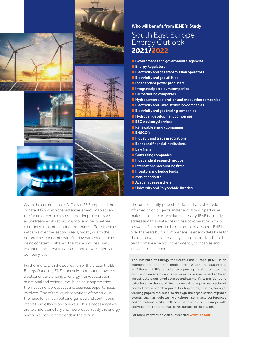







Given the current state of affairs in SE Europe and the constant flux which characterizes energy markets and the fact that certain key cross border projects, such as upstream exploration, major oil and gas pipelines, electricity transmission lines etc., have suffered serious setbacks over the last two years, mostly due to the coronavirus pandemic, with final investment decisions being constantly differed, the study provides useful insight on the latest situation, at both government and company level.

Furthermore, with the publication of the present "SEE Energy Outlook", IENE is actively contributing towards a better understanding of energy market operation at national and regional level but also in appreciating the investment prospects and business opportunities involved. One of the key observations of the study is the need for a much better organized and continuous market surveillance and analysis. This is necessary if we are to understand fully and interpret correctly the energy sector's progress and trends in the region.

#### **Who will benefit from IENE's Study**

### South East Europe **Energy Outlook** 2021/2022

- Governments and governmental agencies
- **Energy Regulators**
- **E** Electricity and gas transmission operators
- **Electricity and gas utilities**
- Independent power producers
- **Integrated petroleum companies**
- **Oil marketing companies**
- $\blacksquare$  Hydrocarbon exploration and production companies
- **Electricity and Gas distribution companies**
- **E** Electricity and gas trading companies
- **Hydrogen development companies**
- **ESG Advisory Services**
- **Renewable energy companies**
- **ENSCO's**
- Industry and trade associations
- **Banks and financial institutions**
- $Law$  firms
- Consulting companies
- **Independent research groups**
- International accounting firms
- **Investors and hedge funds**
- **Market analysts**
- **Academic researchers**
- **University and Polytechnic libraries**

The, until recently, poor statistics and lack of reliable information on projects and energy flows in particular make such a task an absolute necessity. IENE is already addressing this challenge in close co-operation with its network of partners in the region. In this respect IENE has over the years built a comprehensive energy data base for the region which is constantly being updated and could be of immense help to governments, companies and individual researchers.

The **Institute of Energy for South-East Europe (IENE)** is an independent and non-profit organization headquartered in Athens. IENE's efforts to open up and promote the discussion on energy and environmental issues is backed by an infrastructure designed develop and exemplify its positions and to foster an exchange of views through the regular publication of newsletters, research reports, briefing notes, studies, surveys, working papers etc, but also through the organisation of public events such as debates, workshops, seminars, conferences and educational visits. IENE covers the whole of SE Europe with activities and contacts in all core counties of the region.

For more information visit our website: **www.iene.eu**